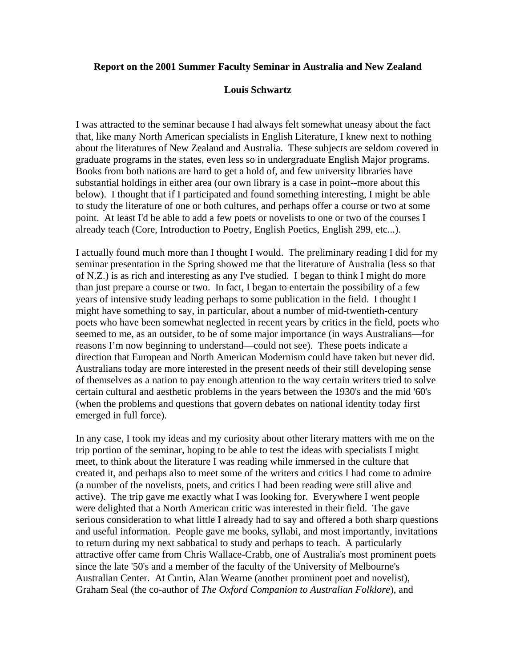#### **Report on the 2001 Summer Faculty Seminar in Australia and New Zealand**

### **Louis Schwartz**

I was attracted to the seminar because I had always felt somewhat uneasy about the fact that, like many North American specialists in English Literature, I knew next to nothing about the literatures of New Zealand and Australia. These subjects are seldom covered in graduate programs in the states, even less so in undergraduate English Major programs. Books from both nations are hard to get a hold of, and few university libraries have substantial holdings in either area (our own library is a case in point--more about this below). I thought that if I participated and found something interesting, I might be able to study the literature of one or both cultures, and perhaps offer a course or two at some point. At least I'd be able to add a few poets or novelists to one or two of the courses I already teach (Core, Introduction to Poetry, English Poetics, English 299, etc...).

I actually found much more than I thought I would. The preliminary reading I did for my seminar presentation in the Spring showed me that the literature of Australia (less so that of N.Z.) is as rich and interesting as any I've studied. I began to think I might do more than just prepare a course or two. In fact, I began to entertain the possibility of a few years of intensive study leading perhaps to some publication in the field. I thought I might have something to say, in particular, about a number of mid-twentieth-century poets who have been somewhat neglected in recent years by critics in the field, poets who seemed to me, as an outsider, to be of some major importance (in ways Australians—for reasons I'm now beginning to understand—could not see). These poets indicate a direction that European and North American Modernism could have taken but never did. Australians today are more interested in the present needs of their still developing sense of themselves as a nation to pay enough attention to the way certain writers tried to solve certain cultural and aesthetic problems in the years between the 1930's and the mid '60's (when the problems and questions that govern debates on national identity today first emerged in full force).

In any case, I took my ideas and my curiosity about other literary matters with me on the trip portion of the seminar, hoping to be able to test the ideas with specialists I might meet, to think about the literature I was reading while immersed in the culture that created it, and perhaps also to meet some of the writers and critics I had come to admire (a number of the novelists, poets, and critics I had been reading were still alive and active). The trip gave me exactly what I was looking for. Everywhere I went people were delighted that a North American critic was interested in their field. The gave serious consideration to what little I already had to say and offered a both sharp questions and useful information. People gave me books, syllabi, and most importantly, invitations to return during my next sabbatical to study and perhaps to teach. A particularly attractive offer came from Chris Wallace-Crabb, one of Australia's most prominent poets since the late '50's and a member of the faculty of the University of Melbourne's Australian Center. At Curtin, Alan Wearne (another prominent poet and novelist), Graham Seal (the co-author of *The Oxford Companion to Australian Folklore*), and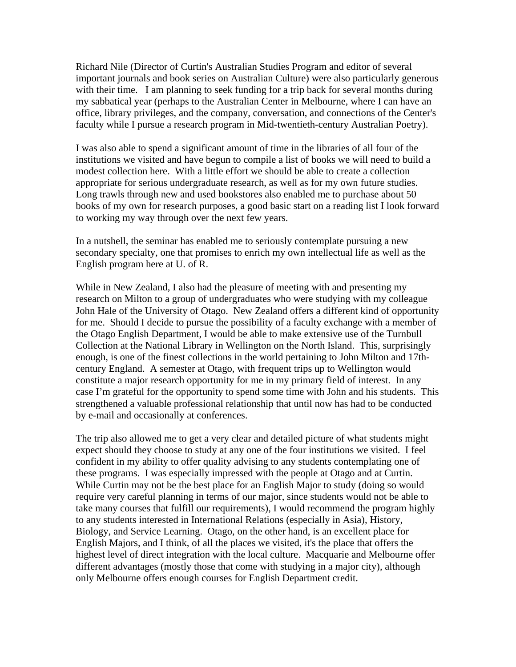Richard Nile (Director of Curtin's Australian Studies Program and editor of several important journals and book series on Australian Culture) were also particularly generous with their time. I am planning to seek funding for a trip back for several months during my sabbatical year (perhaps to the Australian Center in Melbourne, where I can have an office, library privileges, and the company, conversation, and connections of the Center's faculty while I pursue a research program in Mid-twentieth-century Australian Poetry).

I was also able to spend a significant amount of time in the libraries of all four of the institutions we visited and have begun to compile a list of books we will need to build a modest collection here. With a little effort we should be able to create a collection appropriate for serious undergraduate research, as well as for my own future studies. Long trawls through new and used bookstores also enabled me to purchase about 50 books of my own for research purposes, a good basic start on a reading list I look forward to working my way through over the next few years.

In a nutshell, the seminar has enabled me to seriously contemplate pursuing a new secondary specialty, one that promises to enrich my own intellectual life as well as the English program here at U. of R.

While in New Zealand, I also had the pleasure of meeting with and presenting my research on Milton to a group of undergraduates who were studying with my colleague John Hale of the University of Otago. New Zealand offers a different kind of opportunity for me. Should I decide to pursue the possibility of a faculty exchange with a member of the Otago English Department, I would be able to make extensive use of the Turnbull Collection at the National Library in Wellington on the North Island. This, surprisingly enough, is one of the finest collections in the world pertaining to John Milton and 17thcentury England. A semester at Otago, with frequent trips up to Wellington would constitute a major research opportunity for me in my primary field of interest. In any case I'm grateful for the opportunity to spend some time with John and his students. This strengthened a valuable professional relationship that until now has had to be conducted by e-mail and occasionally at conferences.

The trip also allowed me to get a very clear and detailed picture of what students might expect should they choose to study at any one of the four institutions we visited. I feel confident in my ability to offer quality advising to any students contemplating one of these programs. I was especially impressed with the people at Otago and at Curtin. While Curtin may not be the best place for an English Major to study (doing so would require very careful planning in terms of our major, since students would not be able to take many courses that fulfill our requirements), I would recommend the program highly to any students interested in International Relations (especially in Asia), History, Biology, and Service Learning. Otago, on the other hand, is an excellent place for English Majors, and I think, of all the places we visited, it's the place that offers the highest level of direct integration with the local culture. Macquarie and Melbourne offer different advantages (mostly those that come with studying in a major city), although only Melbourne offers enough courses for English Department credit.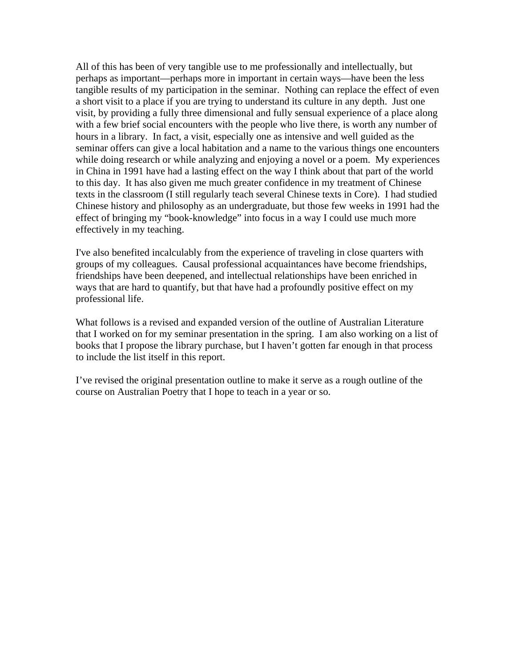All of this has been of very tangible use to me professionally and intellectually, but perhaps as important—perhaps more in important in certain ways—have been the less tangible results of my participation in the seminar. Nothing can replace the effect of even a short visit to a place if you are trying to understand its culture in any depth. Just one visit, by providing a fully three dimensional and fully sensual experience of a place along with a few brief social encounters with the people who live there, is worth any number of hours in a library. In fact, a visit, especially one as intensive and well guided as the seminar offers can give a local habitation and a name to the various things one encounters while doing research or while analyzing and enjoying a novel or a poem. My experiences in China in 1991 have had a lasting effect on the way I think about that part of the world to this day. It has also given me much greater confidence in my treatment of Chinese texts in the classroom (I still regularly teach several Chinese texts in Core). I had studied Chinese history and philosophy as an undergraduate, but those few weeks in 1991 had the effect of bringing my "book-knowledge" into focus in a way I could use much more effectively in my teaching.

I've also benefited incalculably from the experience of traveling in close quarters with groups of my colleagues. Causal professional acquaintances have become friendships, friendships have been deepened, and intellectual relationships have been enriched in ways that are hard to quantify, but that have had a profoundly positive effect on my professional life.

What follows is a revised and expanded version of the outline of Australian Literature that I worked on for my seminar presentation in the spring. I am also working on a list of books that I propose the library purchase, but I haven't gotten far enough in that process to include the list itself in this report.

I've revised the original presentation outline to make it serve as a rough outline of the course on Australian Poetry that I hope to teach in a year or so.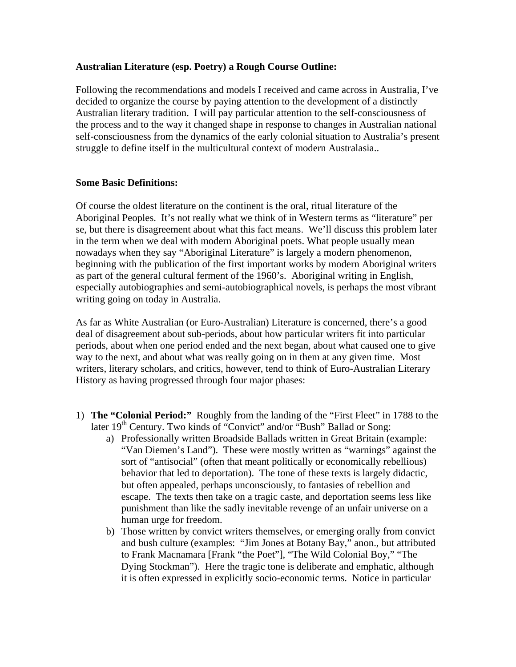## **Australian Literature (esp. Poetry) a Rough Course Outline:**

Following the recommendations and models I received and came across in Australia, I've decided to organize the course by paying attention to the development of a distinctly Australian literary tradition. I will pay particular attention to the self-consciousness of the process and to the way it changed shape in response to changes in Australian national self-consciousness from the dynamics of the early colonial situation to Australia's present struggle to define itself in the multicultural context of modern Australasia..

### **Some Basic Definitions:**

Of course the oldest literature on the continent is the oral, ritual literature of the Aboriginal Peoples. It's not really what we think of in Western terms as "literature" per se, but there is disagreement about what this fact means. We'll discuss this problem later in the term when we deal with modern Aboriginal poets. What people usually mean nowadays when they say "Aboriginal Literature" is largely a modern phenomenon, beginning with the publication of the first important works by modern Aboriginal writers as part of the general cultural ferment of the 1960's. Aboriginal writing in English, especially autobiographies and semi-autobiographical novels, is perhaps the most vibrant writing going on today in Australia.

As far as White Australian (or Euro-Australian) Literature is concerned, there's a good deal of disagreement about sub-periods, about how particular writers fit into particular periods, about when one period ended and the next began, about what caused one to give way to the next, and about what was really going on in them at any given time. Most writers, literary scholars, and critics, however, tend to think of Euro-Australian Literary History as having progressed through four major phases:

- 1) **The "Colonial Period:"** Roughly from the landing of the "First Fleet" in 1788 to the later  $19<sup>th</sup>$  Century. Two kinds of "Convict" and/or "Bush" Ballad or Song:
	- a) Professionally written Broadside Ballads written in Great Britain (example: "Van Diemen's Land"). These were mostly written as "warnings" against the sort of "antisocial" (often that meant politically or economically rebellious) behavior that led to deportation). The tone of these texts is largely didactic, but often appealed, perhaps unconsciously, to fantasies of rebellion and escape. The texts then take on a tragic caste, and deportation seems less like punishment than like the sadly inevitable revenge of an unfair universe on a human urge for freedom.
	- b) Those written by convict writers themselves, or emerging orally from convict and bush culture (examples: "Jim Jones at Botany Bay," anon., but attributed to Frank Macnamara [Frank "the Poet"], "The Wild Colonial Boy," "The Dying Stockman"). Here the tragic tone is deliberate and emphatic, although it is often expressed in explicitly socio-economic terms. Notice in particular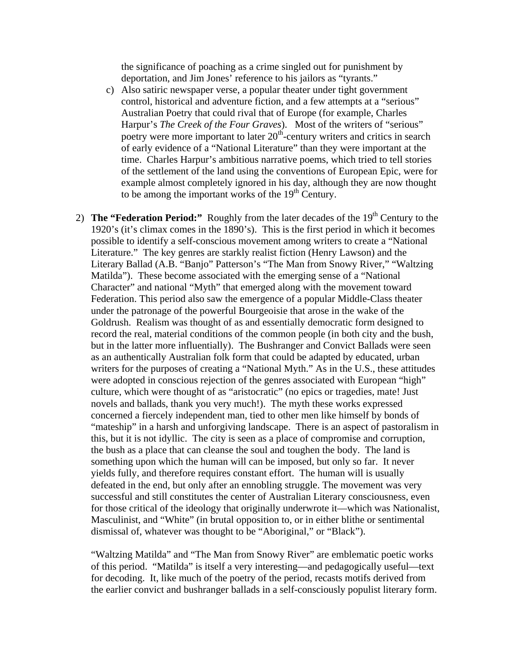the significance of poaching as a crime singled out for punishment by deportation, and Jim Jones' reference to his jailors as "tyrants."

- c) Also satiric newspaper verse, a popular theater under tight government control, historical and adventure fiction, and a few attempts at a "serious" Australian Poetry that could rival that of Europe (for example, Charles Harpur's *The Creek of the Four Graves*). Most of the writers of "serious" poetry were more important to later  $20<sup>th</sup>$ -century writers and critics in search of early evidence of a "National Literature" than they were important at the time. Charles Harpur's ambitious narrative poems, which tried to tell stories of the settlement of the land using the conventions of European Epic, were for example almost completely ignored in his day, although they are now thought to be among the important works of the  $19<sup>th</sup>$  Century.
- 2) **The "Federation Period:"** Roughly from the later decades of the 19<sup>th</sup> Century to the 1920's (it's climax comes in the 1890's). This is the first period in which it becomes possible to identify a self-conscious movement among writers to create a "National Literature." The key genres are starkly realist fiction (Henry Lawson) and the Literary Ballad (A.B. "Banjo" Patterson's "The Man from Snowy River," "Waltzing Matilda"). These become associated with the emerging sense of a "National Character" and national "Myth" that emerged along with the movement toward Federation. This period also saw the emergence of a popular Middle-Class theater under the patronage of the powerful Bourgeoisie that arose in the wake of the Goldrush. Realism was thought of as and essentially democratic form designed to record the real, material conditions of the common people (in both city and the bush, but in the latter more influentially). The Bushranger and Convict Ballads were seen as an authentically Australian folk form that could be adapted by educated, urban writers for the purposes of creating a "National Myth." As in the U.S., these attitudes were adopted in conscious rejection of the genres associated with European "high" culture, which were thought of as "aristocratic" (no epics or tragedies, mate! Just novels and ballads, thank you very much!). The myth these works expressed concerned a fiercely independent man, tied to other men like himself by bonds of "mateship" in a harsh and unforgiving landscape. There is an aspect of pastoralism in this, but it is not idyllic. The city is seen as a place of compromise and corruption, the bush as a place that can cleanse the soul and toughen the body. The land is something upon which the human will can be imposed, but only so far. It never yields fully, and therefore requires constant effort. The human will is usually defeated in the end, but only after an ennobling struggle. The movement was very successful and still constitutes the center of Australian Literary consciousness, even for those critical of the ideology that originally underwrote it—which was Nationalist, Masculinist, and "White" (in brutal opposition to, or in either blithe or sentimental dismissal of, whatever was thought to be "Aboriginal," or "Black").

"Waltzing Matilda" and "The Man from Snowy River" are emblematic poetic works of this period. "Matilda" is itself a very interesting—and pedagogically useful—text for decoding. It, like much of the poetry of the period, recasts motifs derived from the earlier convict and bushranger ballads in a self-consciously populist literary form.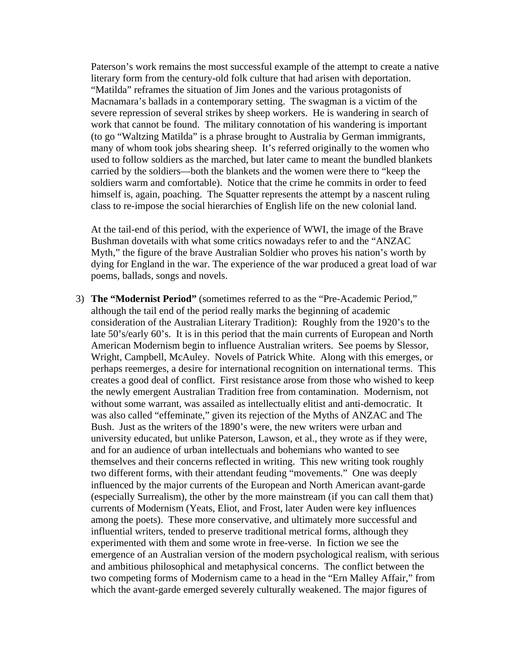Paterson's work remains the most successful example of the attempt to create a native literary form from the century-old folk culture that had arisen with deportation. "Matilda" reframes the situation of Jim Jones and the various protagonists of Macnamara's ballads in a contemporary setting. The swagman is a victim of the severe repression of several strikes by sheep workers. He is wandering in search of work that cannot be found. The military connotation of his wandering is important (to go "Waltzing Matilda" is a phrase brought to Australia by German immigrants, many of whom took jobs shearing sheep. It's referred originally to the women who used to follow soldiers as the marched, but later came to meant the bundled blankets carried by the soldiers—both the blankets and the women were there to "keep the soldiers warm and comfortable). Notice that the crime he commits in order to feed himself is, again, poaching. The Squatter represents the attempt by a nascent ruling class to re-impose the social hierarchies of English life on the new colonial land.

At the tail-end of this period, with the experience of WWI, the image of the Brave Bushman dovetails with what some critics nowadays refer to and the "ANZAC Myth," the figure of the brave Australian Soldier who proves his nation's worth by dying for England in the war. The experience of the war produced a great load of war poems, ballads, songs and novels.

3) **The "Modernist Period"** (sometimes referred to as the "Pre-Academic Period," although the tail end of the period really marks the beginning of academic consideration of the Australian Literary Tradition): Roughly from the 1920's to the late 50's/early 60's. It is in this period that the main currents of European and North American Modernism begin to influence Australian writers. See poems by Slessor, Wright, Campbell, McAuley. Novels of Patrick White. Along with this emerges, or perhaps reemerges, a desire for international recognition on international terms. This creates a good deal of conflict. First resistance arose from those who wished to keep the newly emergent Australian Tradition free from contamination. Modernism, not without some warrant, was assailed as intellectually elitist and anti-democratic. It was also called "effeminate," given its rejection of the Myths of ANZAC and The Bush. Just as the writers of the 1890's were, the new writers were urban and university educated, but unlike Paterson, Lawson, et al., they wrote as if they were, and for an audience of urban intellectuals and bohemians who wanted to see themselves and their concerns reflected in writing. This new writing took roughly two different forms, with their attendant feuding "movements." One was deeply influenced by the major currents of the European and North American avant-garde (especially Surrealism), the other by the more mainstream (if you can call them that) currents of Modernism (Yeats, Eliot, and Frost, later Auden were key influences among the poets). These more conservative, and ultimately more successful and influential writers, tended to preserve traditional metrical forms, although they experimented with them and some wrote in free-verse. In fiction we see the emergence of an Australian version of the modern psychological realism, with serious and ambitious philosophical and metaphysical concerns. The conflict between the two competing forms of Modernism came to a head in the "Ern Malley Affair," from which the avant-garde emerged severely culturally weakened. The major figures of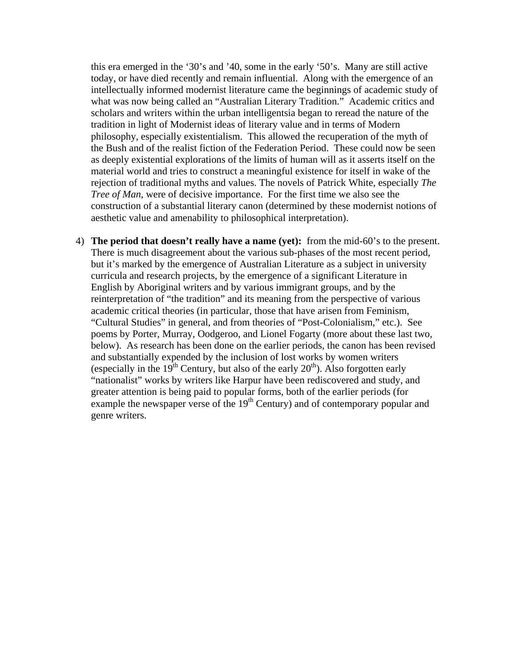this era emerged in the '30's and '40, some in the early '50's. Many are still active today, or have died recently and remain influential. Along with the emergence of an intellectually informed modernist literature came the beginnings of academic study of what was now being called an "Australian Literary Tradition." Academic critics and scholars and writers within the urban intelligentsia began to reread the nature of the tradition in light of Modernist ideas of literary value and in terms of Modern philosophy, especially existentialism. This allowed the recuperation of the myth of the Bush and of the realist fiction of the Federation Period. These could now be seen as deeply existential explorations of the limits of human will as it asserts itself on the material world and tries to construct a meaningful existence for itself in wake of the rejection of traditional myths and values. The novels of Patrick White, especially *The Tree of Man*, were of decisive importance. For the first time we also see the construction of a substantial literary canon (determined by these modernist notions of aesthetic value and amenability to philosophical interpretation).

4) **The period that doesn't really have a name (yet):** from the mid-60's to the present. There is much disagreement about the various sub-phases of the most recent period, but it's marked by the emergence of Australian Literature as a subject in university curricula and research projects, by the emergence of a significant Literature in English by Aboriginal writers and by various immigrant groups, and by the reinterpretation of "the tradition" and its meaning from the perspective of various academic critical theories (in particular, those that have arisen from Feminism, "Cultural Studies" in general, and from theories of "Post-Colonialism," etc.). See poems by Porter, Murray, Oodgeroo, and Lionel Fogarty (more about these last two, below). As research has been done on the earlier periods, the canon has been revised and substantially expended by the inclusion of lost works by women writers (especially in the  $19<sup>th</sup>$  Century, but also of the early  $20<sup>th</sup>$ ). Also forgotten early "nationalist" works by writers like Harpur have been rediscovered and study, and greater attention is being paid to popular forms, both of the earlier periods (for example the newspaper verse of the  $19<sup>th</sup>$  Century) and of contemporary popular and genre writers.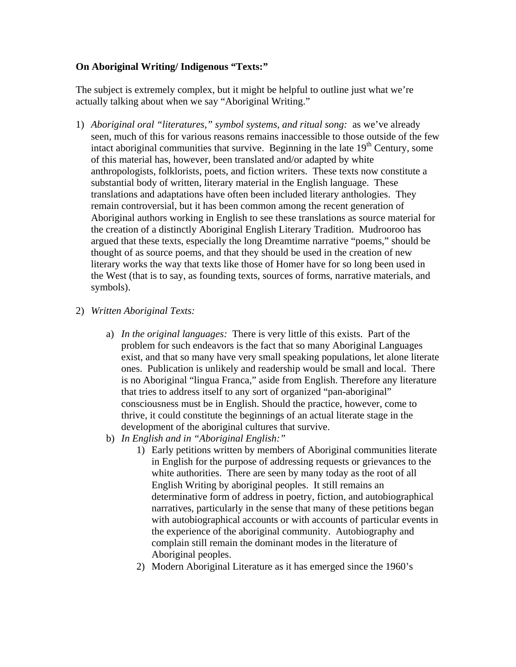# **On Aboriginal Writing/ Indigenous "Texts:"**

The subject is extremely complex, but it might be helpful to outline just what we're actually talking about when we say "Aboriginal Writing."

- 1) *Aboriginal oral "literatures," symbol systems, and ritual song:* as we've already seen, much of this for various reasons remains inaccessible to those outside of the few intact aboriginal communities that survive. Beginning in the late  $19<sup>th</sup>$  Century, some of this material has, however, been translated and/or adapted by white anthropologists, folklorists, poets, and fiction writers. These texts now constitute a substantial body of written, literary material in the English language. These translations and adaptations have often been included literary anthologies. They remain controversial, but it has been common among the recent generation of Aboriginal authors working in English to see these translations as source material for the creation of a distinctly Aboriginal English Literary Tradition. Mudrooroo has argued that these texts, especially the long Dreamtime narrative "poems," should be thought of as source poems, and that they should be used in the creation of new literary works the way that texts like those of Homer have for so long been used in the West (that is to say, as founding texts, sources of forms, narrative materials, and symbols).
- 2) *Written Aboriginal Texts:*
	- a) *In the original languages:* There is very little of this exists. Part of the problem for such endeavors is the fact that so many Aboriginal Languages exist, and that so many have very small speaking populations, let alone literate ones. Publication is unlikely and readership would be small and local. There is no Aboriginal "lingua Franca," aside from English. Therefore any literature that tries to address itself to any sort of organized "pan-aboriginal" consciousness must be in English. Should the practice, however, come to thrive, it could constitute the beginnings of an actual literate stage in the development of the aboriginal cultures that survive.
	- b) *In English and in "Aboriginal English:"* 
		- 1) Early petitions written by members of Aboriginal communities literate in English for the purpose of addressing requests or grievances to the white authorities. There are seen by many today as the root of all English Writing by aboriginal peoples. It still remains an determinative form of address in poetry, fiction, and autobiographical narratives, particularly in the sense that many of these petitions began with autobiographical accounts or with accounts of particular events in the experience of the aboriginal community. Autobiography and complain still remain the dominant modes in the literature of Aboriginal peoples.
		- 2) Modern Aboriginal Literature as it has emerged since the 1960's